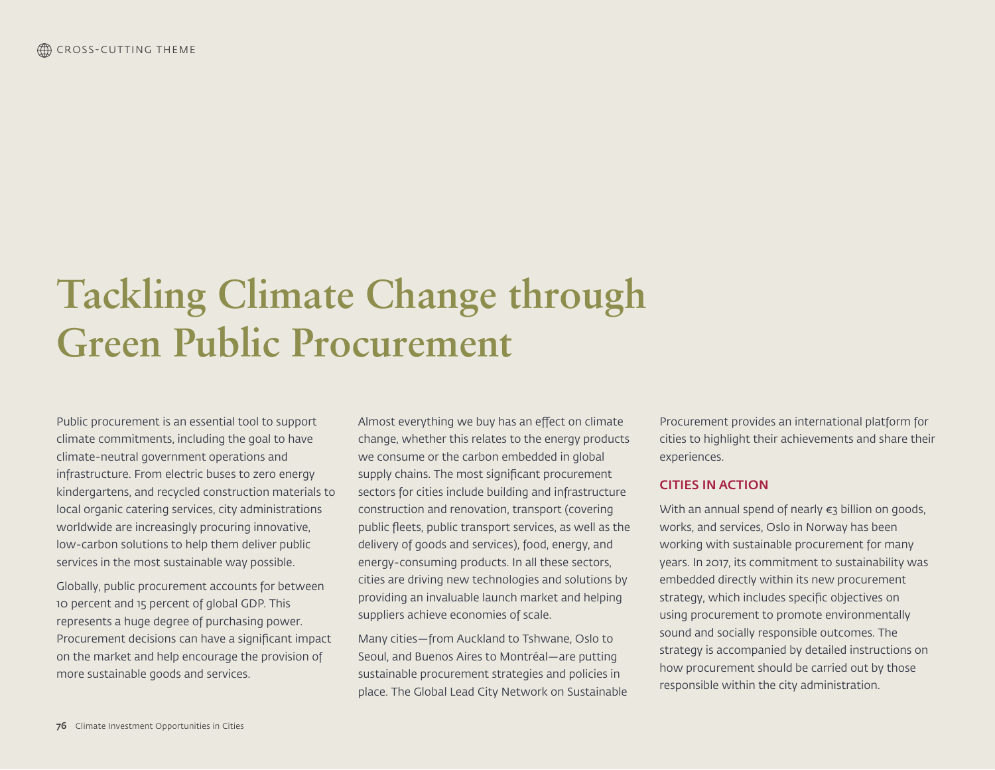# **Tackling Climate Change through Green Public Procurement**

Public procurement is an essential tool to support climate commitments, including the goal to have climate-neutral government operations and infrastructure. From electric buses to zero energy kindergartens, and recycled construction materials to local organic catering services, city administrations worldwide are increasingly procuring innovative, low-carbon solutions to help them deliver public services in the most sustainable way possible.

Globally, public procurement accounts for between 10 percent and 15 percent of global GDP. This represents a huge degree of purchasing power. Procurement decisions can have a significant impact on the market and help encourage the provision of more sustainable goods and services.

Almost everything we buy has an effect on climate change, whether this relates to the energy products we consume or the carbon embedded in global supply chains. The most significant procurement sectors for cities include building and infrastructure construction and renovation, transport (covering public fleets, public transport services, as well as the delivery of goods and services), food, energy, and energy-consuming products. In all these sectors, cities are driving new technologies and solutions by providing an invaluable launch market and helping suppliers achieve economies of scale.

Many cities—from Auckland to Tshwane, Oslo to Seoul, and Buenos Aires to Montréal—are putting sustainable procurement strategies and policies in place. The Global Lead City Network on Sustainable

Procurement provides an international platform for cities to highlight their achievements and share their experiences.

#### CITIES IN ACTION

With an annual spend of nearly €3 billion on goods, works, and services, Oslo in Norway has been working with sustainable procurement for many years. In 2017, its commitment to sustainability was embedded directly within its new procurement strategy, which includes specific objectives on using procurement to promote environmentally sound and socially responsible outcomes. The strategy is accompanied by detailed instructions on how procurement should be carried out by those responsible within the city administration.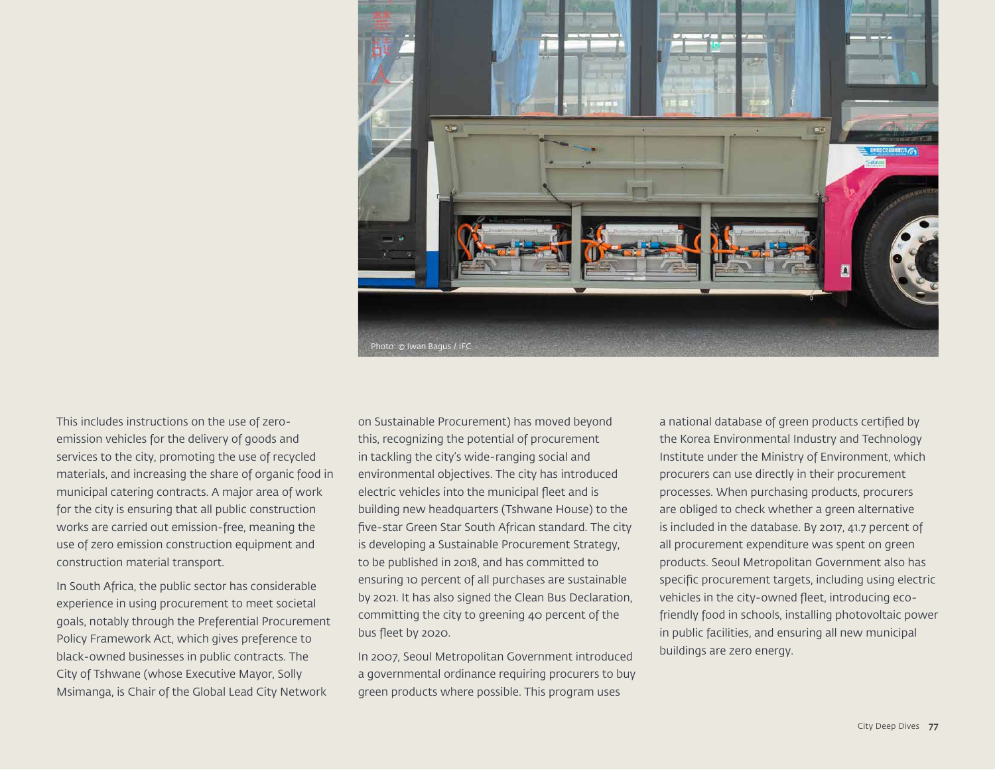

This includes instructions on the use of zeroemission vehicles for the delivery of goods and services to the city, promoting the use of recycled materials, and increasing the share of organic food in municipal catering contracts. A major area of work for the city is ensuring that all public construction works are carried out emission-free, meaning the use of zero emission construction equipment and construction material transport.

In South Africa, the public sector has considerable experience in using procurement to meet societal goals, notably through the Preferential Procurement Policy Framework Act, which gives preference to black-owned businesses in public contracts. The City of Tshwane (whose Executive Mayor, Solly Msimanga, is Chair of the Global Lead City Network

on Sustainable Procurement) has moved beyond this, recognizing the potential of procurement in tackling the city's wide-ranging social and environmental objectives. The city has introduced electric vehicles into the municipal fleet and is building new headquarters (Tshwane House) to the five-star Green Star South African standard. The city is developing a Sustainable Procurement Strategy, to be published in 2018, and has committed to ensuring 10 percent of all purchases are sustainable by 2021. It has also signed the Clean Bus Declaration, committing the city to greening 40 percent of the bus fleet by 2020.

In 2007, Seoul Metropolitan Government introduced a governmental ordinance requiring procurers to buy green products where possible. This program uses

a national database of green products certified by the Korea Environmental Industry and Technology Institute under the Ministry of Environment, which procurers can use directly in their procurement processes. When purchasing products, procurers are obliged to check whether a green alternative is included in the database. By 2017, 41.7 percent of all procurement expenditure was spent on green products. Seoul Metropolitan Government also has specific procurement targets, including using electric vehicles in the city-owned fleet, introducing ecofriendly food in schools, installing photovoltaic power in public facilities, and ensuring all new municipal buildings are zero energy.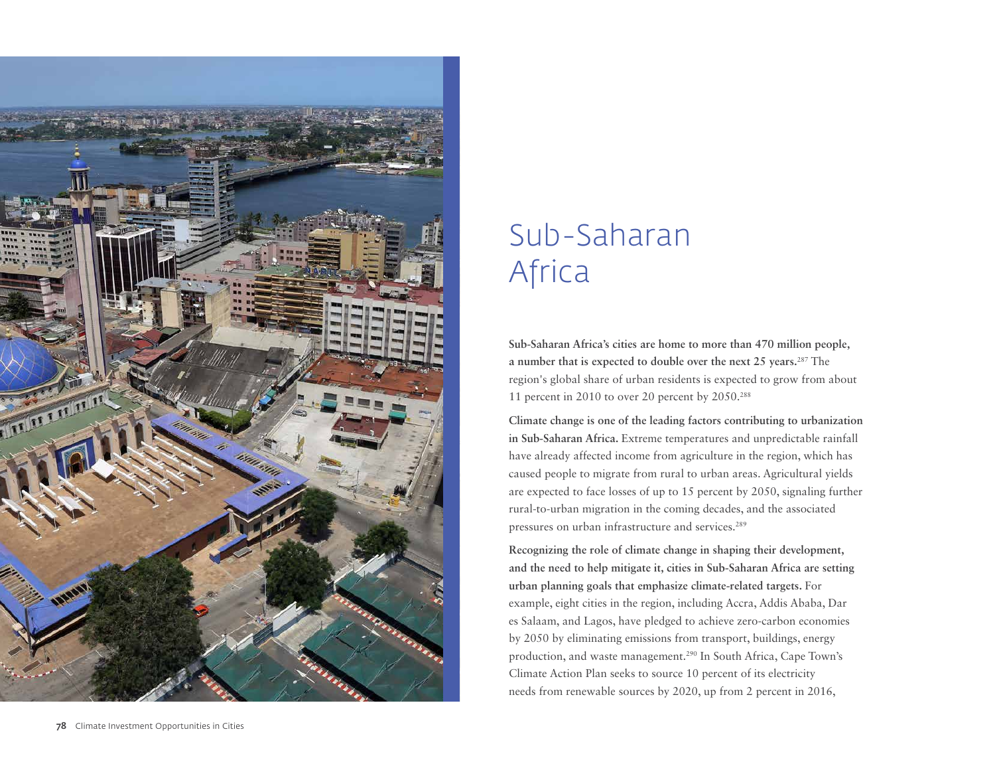

## Sub-Saharan Africa

**Sub-Saharan Africa's cities are home to more than 470 million people, a number that is expected to double over the next 25 years.**287 The region's global share of urban residents is expected to grow from about 11 percent in 2010 to over 20 percent by 2050.288

**Climate change is one of the leading factors contributing to urbanization in Sub-Saharan Africa.** Extreme temperatures and unpredictable rainfall have already affected income from agriculture in the region, which has caused people to migrate from rural to urban areas. Agricultural yields are expected to face losses of up to 15 percent by 2050, signaling further rural-to-urban migration in the coming decades, and the associated pressures on urban infrastructure and services.<sup>289</sup>

**Recognizing the role of climate change in shaping their development, and the need to help mitigate it, cities in Sub-Saharan Africa are setting urban planning goals that emphasize climate-related targets.** For example, eight cities in the region, including Accra, Addis Ababa, Dar es Salaam, and Lagos, have pledged to achieve zero-carbon economies by 2050 by eliminating emissions from transport, buildings, energy production, and waste management.290 In South Africa, Cape Town's Climate Action Plan seeks to source 10 percent of its electricity needs from renewable sources by 2020, up from 2 percent in 2016,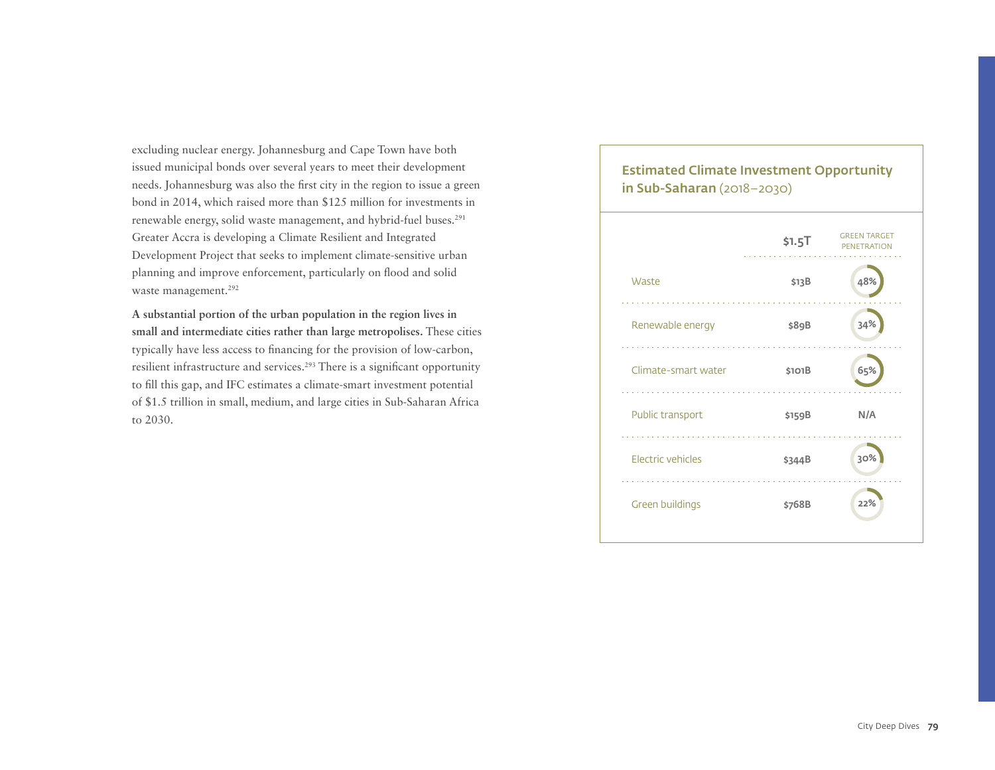excluding nuclear energy. Johannesburg and Cape Town have both issued municipal bonds over several years to meet their development needs. Johannesburg was also the first city in the region to issue a green bond in 2014, which raised more than \$125 million for investments in renewable energy, solid waste management, and hybrid-fuel buses.<sup>291</sup> Greater Accra is developing a Climate Resilient and Integrated Development Project that seeks to implement climate-sensitive urban planning and improve enforcement, particularly on flood and solid waste management.<sup>292</sup>

**A substantial portion of the urban population in the region lives in small and intermediate cities rather than large metropolises.** These cities typically have less access to financing for the provision of low-carbon, resilient infrastructure and services.293 There is a significant opportunity to fill this gap, and IFC estimates a climate-smart investment potential of \$1.5 trillion in small, medium, and large cities in Sub-Saharan Africa to 2030.

#### Estimated Climate Investment Opportunity in Sub-Saharan (2018–2030)

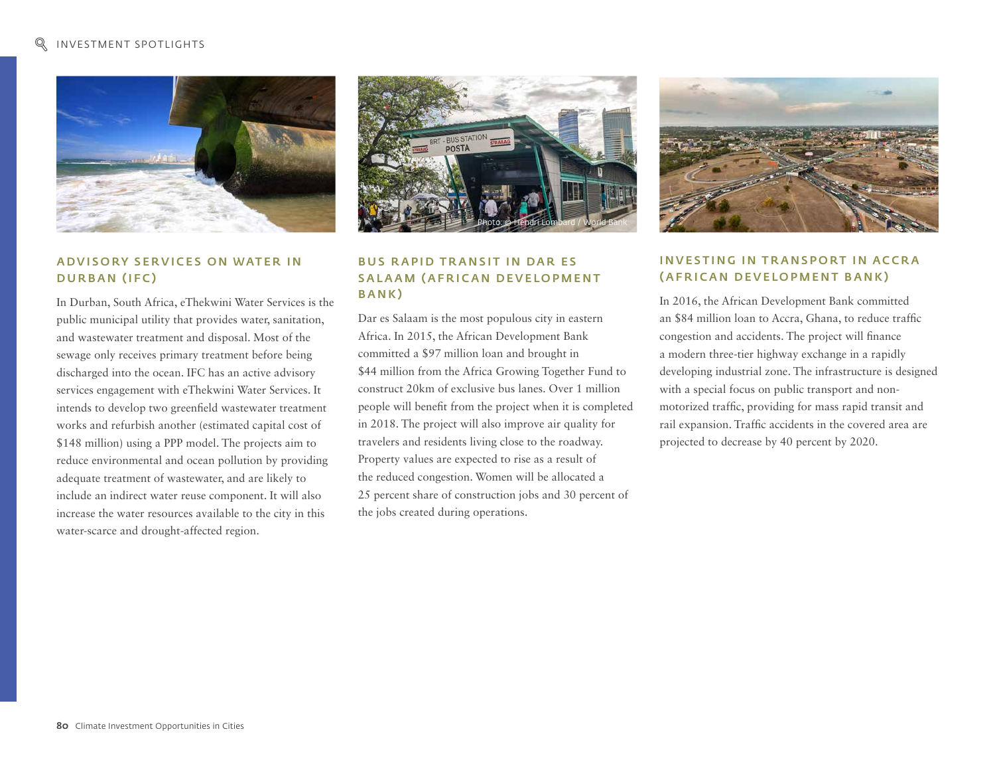

#### A D V I SO R Y SERVICES ON WATER IN DURBAN (IFC)

In Durban, South Africa, eThekwini Water Services is the public municipal utility that provides water, sanitation, and wastewater treatment and disposal. Most of the sewage only receives primary treatment before being discharged into the ocean. IFC has an active advisory services engagement with eThekwini Water Services. It intends to develop two greenfield wastewater treatment works and refurbish another (estimated capital cost of \$148 million) using a PPP model. The projects aim to reduce environmental and ocean pollution by providing adequate treatment of wastewater, and are likely to include an indirect water reuse component. It will also increase the water resources available to the city in this water-scarce and drought-affected region.



#### **BUS RAPID TRANSIT IN DAR ES** S A LAAM (A FRICAN DEVELO PMENT BANK)

Dar es Salaam is the most populous city in eastern Africa. In 2015, the African Development Bank committed a \$97 million loan and brought in \$44 million from the Africa Growing Together Fund to construct 20km of exclusive bus lanes. Over 1 million people will benefit from the project when it is completed in 2018. The project will also improve air quality for travelers and residents living close to the roadway. Property values are expected to rise as a result of the reduced congestion. Women will be allocated a 25 percent share of construction jobs and 30 percent of the jobs created during operations.



#### **INVESTING IN TRANSPORT IN ACCRA** (AFRICAN DEVELOPMENT BANK)

In 2016, the African Development Bank committed an \$84 million loan to Accra, Ghana, to reduce traffic congestion and accidents. The project will finance a modern three-tier highway exchange in a rapidly developing industrial zone. The infrastructure is designed with a special focus on public transport and nonmotorized traffic, providing for mass rapid transit and rail expansion. Traffic accidents in the covered area are projected to decrease by 40 percent by 2020.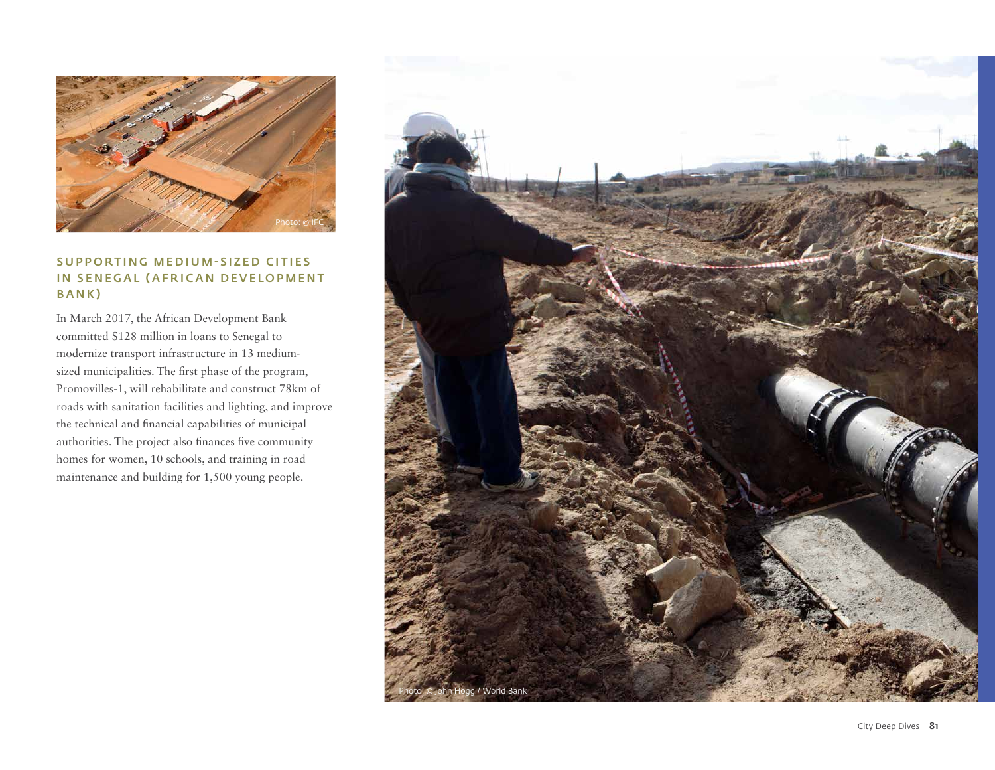

#### SUPPORTING MEDIUM-SIZED CITIES IN SENEGAL (AFRICAN DEVELOPMENT BANK)

In March 2017, the African Development Bank committed \$128 million in loans to Senegal to modernize transport infrastructure in 13 mediumsized municipalities. The first phase of the program, Promovilles-1, will rehabilitate and construct 78km of roads with sanitation facilities and lighting, and improve the technical and financial capabilities of municipal authorities. The project also finances five community homes for women, 10 schools, and training in road maintenance and building for 1,500 young people.

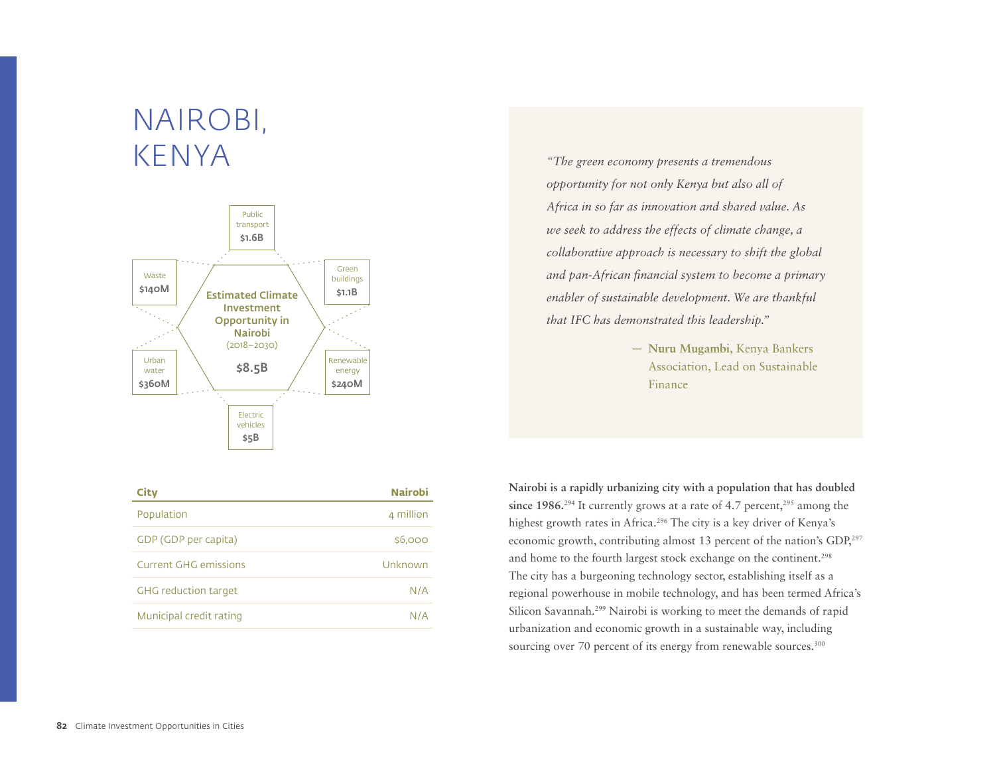### NAIROBI, KENYA



| <b>City</b>                  | <b>Nairobi</b> |
|------------------------------|----------------|
| Population                   | 4 million      |
| GDP (GDP per capita)         | \$6,000        |
| <b>Current GHG emissions</b> | Unknown        |
| <b>GHG</b> reduction target  | N/A            |
| Municipal credit rating      | N/A            |

*"The green economy presents a tremendous opportunity for not only Kenya but also all of Africa in so far as innovation and shared value. As we seek to address the effects of climate change, a collaborative approach is necessary to shift the global and pan-African financial system to become a primary enabler of sustainable development. We are thankful that IFC has demonstrated this leadership."* 

> — **Nuru Mugambi,** Kenya Bankers Association, Lead on Sustainable Finance

**Nairobi is a rapidly urbanizing city with a population that has doubled**  since  $1986.^{294}$  It currently grows at a rate of 4.7 percent,<sup>295</sup> among the highest growth rates in Africa.<sup>296</sup> The city is a key driver of Kenya's economic growth, contributing almost 13 percent of the nation's GDP,<sup>297</sup> and home to the fourth largest stock exchange on the continent.<sup>298</sup> The city has a burgeoning technology sector, establishing itself as a regional powerhouse in mobile technology, and has been termed Africa's Silicon Savannah.299 Nairobi is working to meet the demands of rapid urbanization and economic growth in a sustainable way, including sourcing over 70 percent of its energy from renewable sources.<sup>300</sup>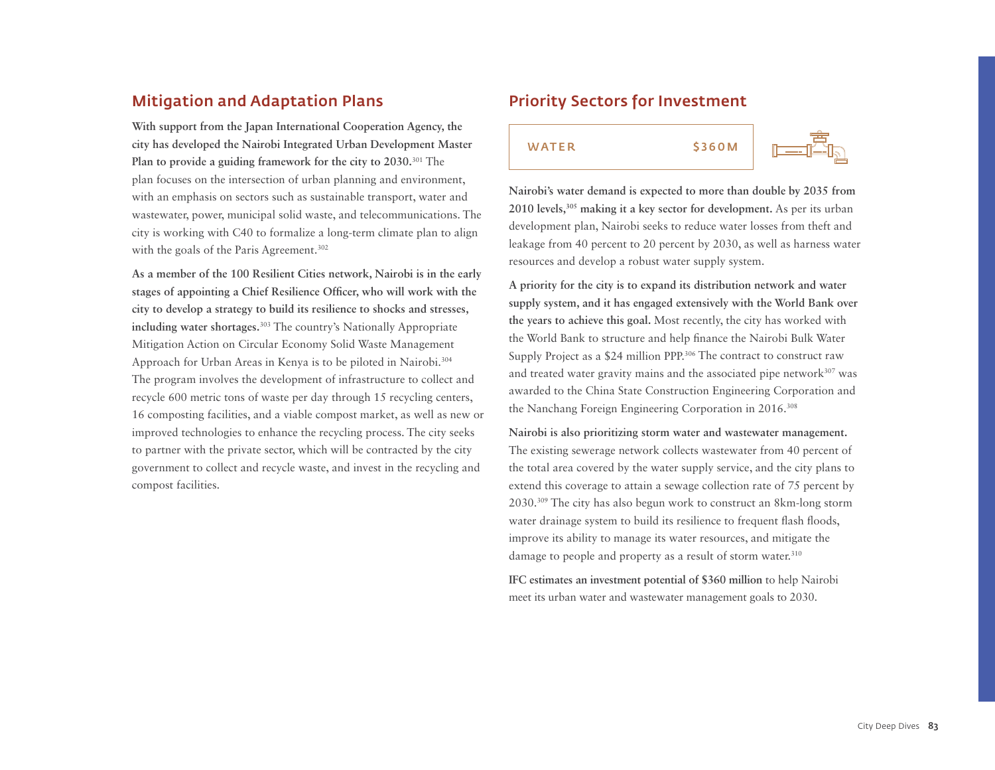### Mitigation and Adaptation Plans

**With support from the Japan International Cooperation Agency, the city has developed the Nairobi Integrated Urban Development Master Plan to provide a guiding framework for the city to 2030.**301 The plan focuses on the intersection of urban planning and environment, with an emphasis on sectors such as sustainable transport, water and wastewater, power, municipal solid waste, and telecommunications. The city is working with C40 to formalize a long-term climate plan to align with the goals of the Paris Agreement.<sup>302</sup>

**As a member of the 100 Resilient Cities network, Nairobi is in the early stages of appointing a Chief Resilience Officer, who will work with the city to develop a strategy to build its resilience to shocks and stresses, including water shortages.**303 The country's Nationally Appropriate Mitigation Action on Circular Economy Solid Waste Management Approach for Urban Areas in Kenya is to be piloted in Nairobi.304 The program involves the development of infrastructure to collect and recycle 600 metric tons of waste per day through 15 recycling centers, 16 composting facilities, and a viable compost market, as well as new or improved technologies to enhance the recycling process. The city seeks to partner with the private sector, which will be contracted by the city government to collect and recycle waste, and invest in the recycling and compost facilities.

#### Priority Sectors for Investment





**Nairobi's water demand is expected to more than double by 2035 from 2010 levels,305 making it a key sector for development.** As per its urban development plan, Nairobi seeks to reduce water losses from theft and leakage from 40 percent to 20 percent by 2030, as well as harness water resources and develop a robust water supply system.

**A priority for the city is to expand its distribution network and water supply system, and it has engaged extensively with the World Bank over the years to achieve this goal.** Most recently, the city has worked with the World Bank to structure and help finance the Nairobi Bulk Water Supply Project as a \$24 million PPP.<sup>306</sup> The contract to construct raw and treated water gravity mains and the associated pipe network<sup>307</sup> was awarded to the China State Construction Engineering Corporation and the Nanchang Foreign Engineering Corporation in 2016.<sup>308</sup>

**Nairobi is also prioritizing storm water and wastewater management.**  The existing sewerage network collects wastewater from 40 percent of the total area covered by the water supply service, and the city plans to extend this coverage to attain a sewage collection rate of 75 percent by 2030.309 The city has also begun work to construct an 8km-long storm water drainage system to build its resilience to frequent flash floods, improve its ability to manage its water resources, and mitigate the damage to people and property as a result of storm water.<sup>310</sup>

**IFC estimates an investment potential of \$360 million** to help Nairobi meet its urban water and wastewater management goals to 2030.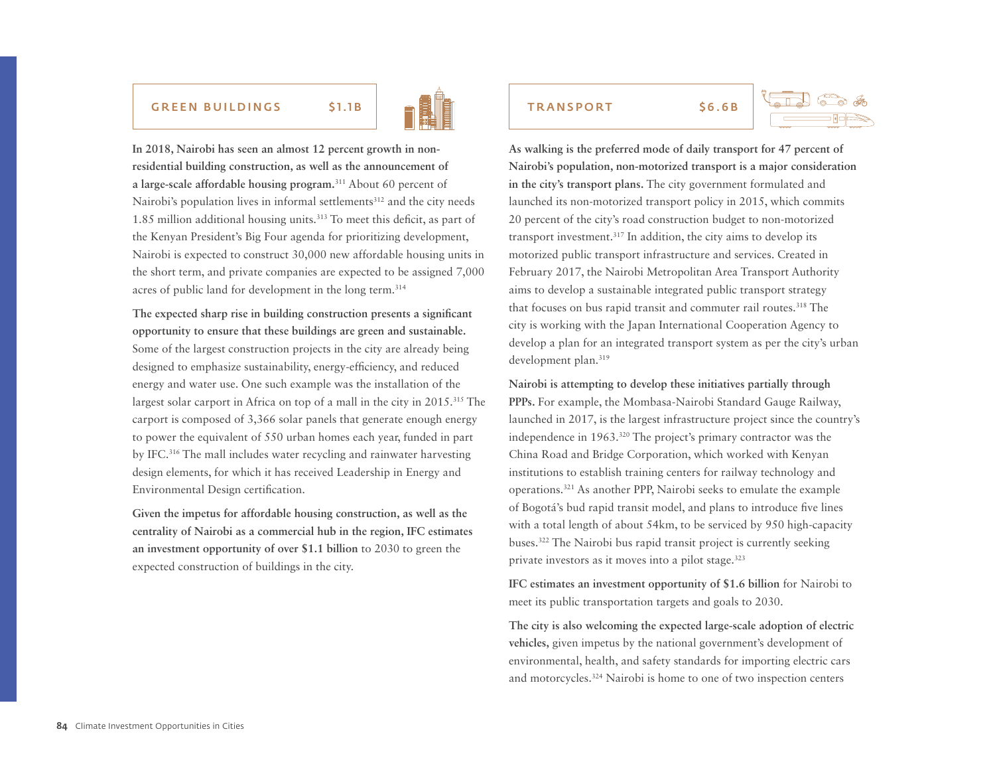#### GREEN BUILDINGS \$1.1B TRANSPORT \$6.6B



**In 2018, Nairobi has seen an almost 12 percent growth in nonresidential building construction, as well as the announcement of a large-scale affordable housing program.**311 About 60 percent of Nairobi's population lives in informal settlements<sup>312</sup> and the city needs 1.85 million additional housing units.313 To meet this deficit, as part of the Kenyan President's Big Four agenda for prioritizing development, Nairobi is expected to construct 30,000 new affordable housing units in the short term, and private companies are expected to be assigned 7,000 acres of public land for development in the long term.314

**The expected sharp rise in building construction presents a significant opportunity to ensure that these buildings are green and sustainable.**  Some of the largest construction projects in the city are already being designed to emphasize sustainability, energy-efficiency, and reduced energy and water use. One such example was the installation of the largest solar carport in Africa on top of a mall in the city in 2015.<sup>315</sup> The carport is composed of 3,366 solar panels that generate enough energy to power the equivalent of 550 urban homes each year, funded in part by IFC.316 The mall includes water recycling and rainwater harvesting design elements, for which it has received Leadership in Energy and Environmental Design certification.

**Given the impetus for affordable housing construction, as well as the centrality of Nairobi as a commercial hub in the region, IFC estimates an investment opportunity of over \$1.1 billion** to 2030 to green the expected construction of buildings in the city.





**As walking is the preferred mode of daily transport for 47 percent of Nairobi's population, non-motorized transport is a major consideration in the city's transport plans.** The city government formulated and launched its non-motorized transport policy in 2015, which commits 20 percent of the city's road construction budget to non-motorized transport investment.317 In addition, the city aims to develop its motorized public transport infrastructure and services. Created in February 2017, the Nairobi Metropolitan Area Transport Authority aims to develop a sustainable integrated public transport strategy that focuses on bus rapid transit and commuter rail routes.<sup>318</sup> The city is working with the Japan International Cooperation Agency to develop a plan for an integrated transport system as per the city's urban development plan.319

**Nairobi is attempting to develop these initiatives partially through PPPs.** For example, the Mombasa-Nairobi Standard Gauge Railway, launched in 2017, is the largest infrastructure project since the country's independence in 1963.320 The project's primary contractor was the China Road and Bridge Corporation, which worked with Kenyan institutions to establish training centers for railway technology and operations.321 As another PPP, Nairobi seeks to emulate the example of Bogotá's bud rapid transit model, and plans to introduce five lines with a total length of about 54km, to be serviced by 950 high-capacity buses.322 The Nairobi bus rapid transit project is currently seeking private investors as it moves into a pilot stage.323

**IFC estimates an investment opportunity of \$1.6 billion** for Nairobi to meet its public transportation targets and goals to 2030.

**The city is also welcoming the expected large-scale adoption of electric vehicles,** given impetus by the national government's development of environmental, health, and safety standards for importing electric cars and motorcycles.324 Nairobi is home to one of two inspection centers